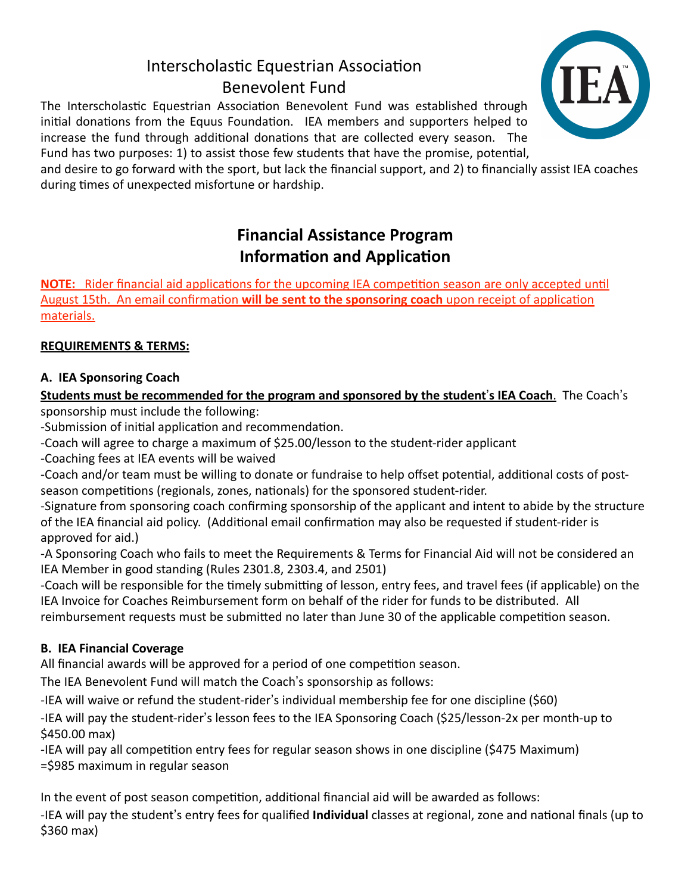# Interscholastic Equestrian Association Benevolent Fund

The Interscholastic Equestrian Association Benevolent Fund was established through initial donations from the Equus Foundation. IEA members and supporters helped to increase the fund through additional donations that are collected every season. The Fund has two purposes: 1) to assist those few students that have the promise, potential,

and desire to go forward with the sport, but lack the financial support, and 2) to financially assist IEA coaches during times of unexpected misfortune or hardship.

# **Financial Assistance Program Information and Application**

**NOTE:** Rider financial aid applications for the upcoming IEA competition season are only accepted until August 15th. An email confirmation will be sent to the sponsoring coach upon receipt of application materials. 

## **REQUIREMENTS & TERMS:**

## **A. IEA Sponsoring Coach**

# **Students must be recommended for the program and sponsored by the student's IEA Coach.** The Coach's

sponsorship must include the following:

-Submission of initial application and recommendation.

-Coach will agree to charge a maximum of \$25.00/lesson to the student-rider applicant

-Coaching fees at IEA events will be waived

-Coach and/or team must be willing to donate or fundraise to help offset potential, additional costs of postseason competitions (regionals, zones, nationals) for the sponsored student-rider.

-Signature from sponsoring coach confirming sponsorship of the applicant and intent to abide by the structure of the IEA financial aid policy. (Additional email confirmation may also be requested if student-rider is approved for aid.)

-A Sponsoring Coach who fails to meet the Requirements & Terms for Financial Aid will not be considered an IEA Member in good standing (Rules 2301.8, 2303.4, and 2501)

-Coach will be responsible for the timely submitting of lesson, entry fees, and travel fees (if applicable) on the IEA Invoice for Coaches Reimbursement form on behalf of the rider for funds to be distributed. All reimbursement requests must be submitted no later than June 30 of the applicable competition season.

## **B. IEA Financial Coverage**

All financial awards will be approved for a period of one competition season.

The IEA Benevolent Fund will match the Coach's sponsorship as follows:

-IEA will waive or refund the student-rider's individual membership fee for one discipline (\$60)

-IEA will pay the student-rider's lesson fees to the IEA Sponsoring Coach (\$25/lesson-2x per month-up to \$450.00 max)

-IEA will pay all competition entry fees for regular season shows in one discipline (\$475 Maximum) =\$985 maximum in regular season

In the event of post season competition, additional financial aid will be awarded as follows: -IEA will pay the student's entry fees for qualified **Individual** classes at regional, zone and national finals (up to  $$360$  max)

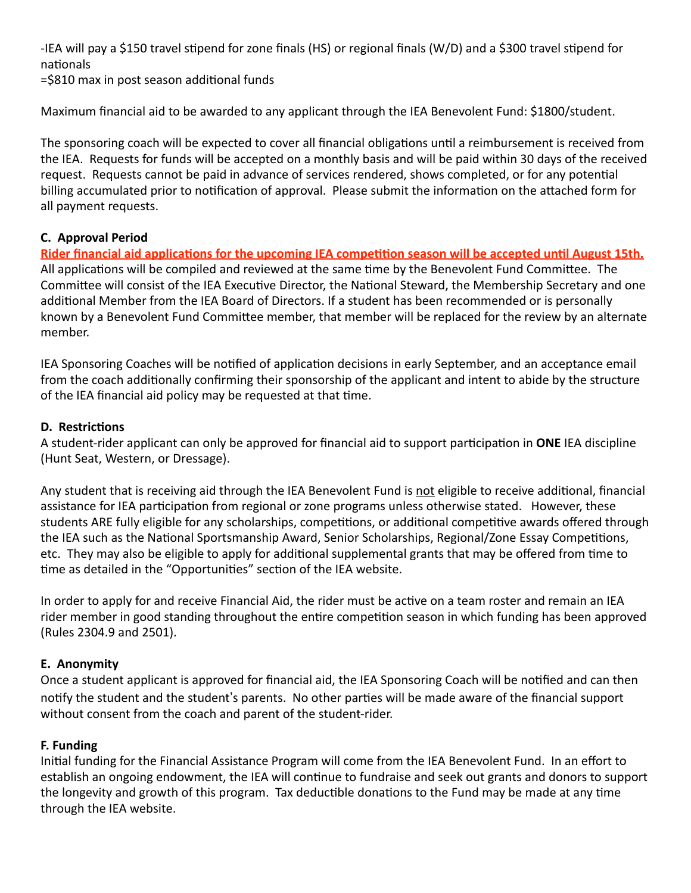-IEA will pay a \$150 travel stipend for zone finals (HS) or regional finals (W/D) and a \$300 travel stipend for nationals

=\$810 max in post season additional funds

Maximum financial aid to be awarded to any applicant through the IEA Benevolent Fund: \$1800/student.

The sponsoring coach will be expected to cover all financial obligations until a reimbursement is received from the IEA. Requests for funds will be accepted on a monthly basis and will be paid within 30 days of the received request. Requests cannot be paid in advance of services rendered, shows completed, or for any potential billing accumulated prior to notification of approval. Please submit the information on the attached form for all payment requests.

#### **C. Approval Period**

Rider financial aid applications for the upcoming IEA competition season will be accepted until August 15th. All applications will be compiled and reviewed at the same time by the Benevolent Fund Committee. The Committee will consist of the IEA Executive Director, the National Steward, the Membership Secretary and one additional Member from the IEA Board of Directors. If a student has been recommended or is personally known by a Benevolent Fund Committee member, that member will be replaced for the review by an alternate member.

IEA Sponsoring Coaches will be notified of application decisions in early September, and an acceptance email from the coach additionally confirming their sponsorship of the applicant and intent to abide by the structure of the IEA financial aid policy may be requested at that time.

#### **D. Restrictions**

A student-rider applicant can only be approved for financial aid to support participation in **ONE** IEA discipline (Hunt Seat, Western, or Dressage).

Any student that is receiving aid through the IEA Benevolent Fund is not eligible to receive additional, financial assistance for IEA participation from regional or zone programs unless otherwise stated. However, these students ARE fully eligible for any scholarships, competitions, or additional competitive awards offered through the IEA such as the National Sportsmanship Award, Senior Scholarships, Regional/Zone Essay Competitions, etc. They may also be eligible to apply for additional supplemental grants that may be offered from time to time as detailed in the "Opportunities" section of the IEA website.

In order to apply for and receive Financial Aid, the rider must be active on a team roster and remain an IEA rider member in good standing throughout the entire competition season in which funding has been approved (Rules 2304.9 and 2501).

### **E. Anonymity**

Once a student applicant is approved for financial aid, the IEA Sponsoring Coach will be notified and can then notify the student and the student's parents. No other parties will be made aware of the financial support without consent from the coach and parent of the student-rider.

#### **F. Funding**

Initial funding for the Financial Assistance Program will come from the IEA Benevolent Fund. In an effort to establish an ongoing endowment, the IEA will continue to fundraise and seek out grants and donors to support the longevity and growth of this program. Tax deductible donations to the Fund may be made at any time through the IEA website.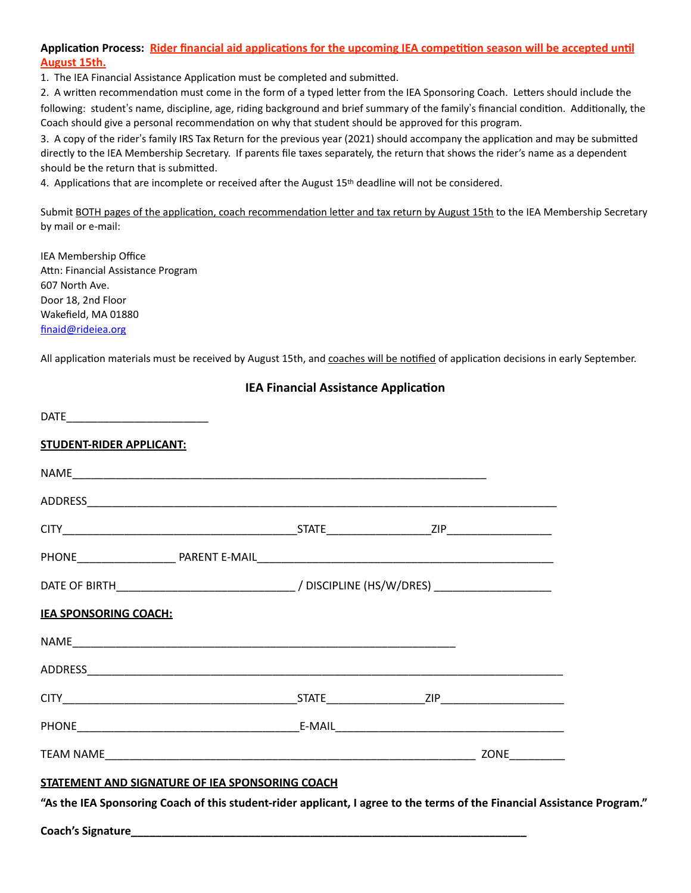#### Application Process: Rider financial aid applications for the upcoming IEA competition season will be accepted until **August 15th.**

1. The IEA Financial Assistance Application must be completed and submitted.

2. A written recommendation must come in the form of a typed letter from the IEA Sponsoring Coach. Letters should include the following: student's name, discipline, age, riding background and brief summary of the family's financial condition. Additionally, the Coach should give a personal recommendation on why that student should be approved for this program.

3. A copy of the rider's family IRS Tax Return for the previous year (2021) should accompany the application and may be submitted directly to the IEA Membership Secretary. If parents file taxes separately, the return that shows the rider's name as a dependent should be the return that is submitted.

4. Applications that are incomplete or received after the August  $15<sup>th</sup>$  deadline will not be considered.

Submit BOTH pages of the application, coach recommendation letter and tax return by August 15th to the IEA Membership Secretary by mail or e-mail:

IEA Membership Office Attn: Financial Assistance Program 607 North Ave. Door 18, 2nd Floor Wakefield, MA 01880 [finaid@rideiea.org](mailto:finaid@rideiea.org)

All application materials must be received by August 15th, and coaches will be notified of application decisions in early September.

| <b>IEA Financial Assistance Application</b>                                                                              |  |  |  |  |
|--------------------------------------------------------------------------------------------------------------------------|--|--|--|--|
|                                                                                                                          |  |  |  |  |
| <b>STUDENT-RIDER APPLICANT:</b>                                                                                          |  |  |  |  |
|                                                                                                                          |  |  |  |  |
|                                                                                                                          |  |  |  |  |
|                                                                                                                          |  |  |  |  |
|                                                                                                                          |  |  |  |  |
|                                                                                                                          |  |  |  |  |
| <b>IEA SPONSORING COACH:</b>                                                                                             |  |  |  |  |
|                                                                                                                          |  |  |  |  |
|                                                                                                                          |  |  |  |  |
|                                                                                                                          |  |  |  |  |
|                                                                                                                          |  |  |  |  |
|                                                                                                                          |  |  |  |  |
| STATEMENT AND SIGNATURE OF IEA SPONSORING COACH                                                                          |  |  |  |  |
| "As the IEA Sponsoring Coach of this student-rider applicant, I agree to the terms of the Financial Assistance Program." |  |  |  |  |

Coach's Signature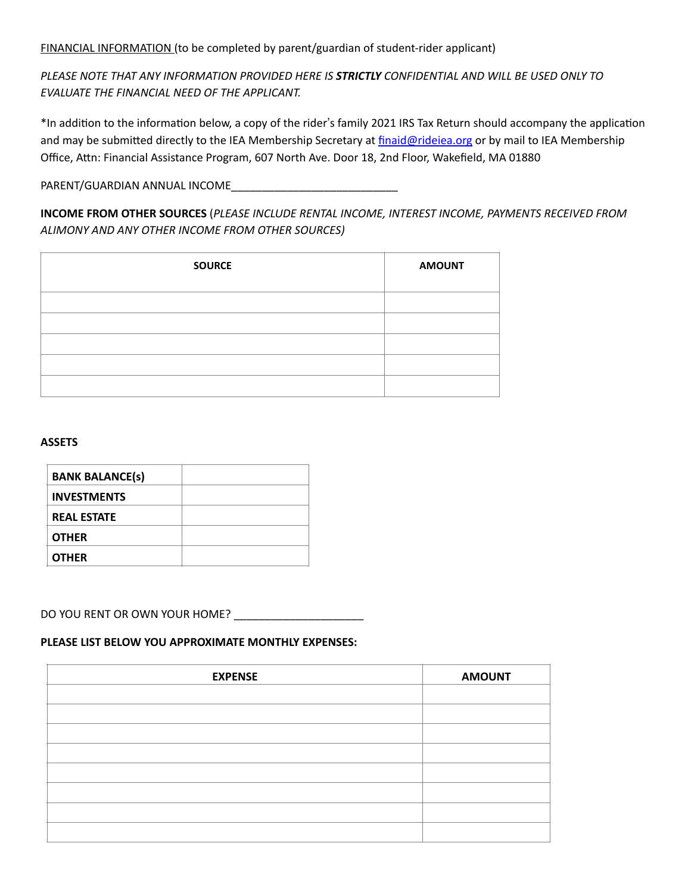FINANCIAL INFORMATION (to be completed by parent/guardian of student-rider applicant)

PLEASE NOTE THAT ANY INFORMATION PROVIDED HERE IS **STRICTLY** CONFIDENTIAL AND WILL BE USED ONLY TO **EVALUATE THE FINANCIAL NEED OF THE APPLICANT.** 

\*In addition to the information below, a copy of the rider's family 2021 IRS Tax Return should accompany the application and may be submitted directly to the IEA Membership Secretary at finaid@rideiea.org or by mail to IEA Membership Office, Attn: Financial Assistance Program, 607 North Ave. Door 18, 2nd Floor, Wakefield, MA 01880

PARENT/GUARDIAN ANNUAL INCOME

**INCOME FROM OTHER SOURCES** (PLEASE INCLUDE RENTAL INCOME, INTEREST INCOME, PAYMENTS RECEIVED FROM *ALIMONY AND ANY OTHER INCOME FROM OTHER SOURCES)*

| <b>SOURCE</b> | <b>AMOUNT</b> |
|---------------|---------------|
|               |               |
|               |               |
|               |               |
|               |               |
|               |               |

#### **ASSETS**

| <b>BANK BALANCE(s)</b> |  |
|------------------------|--|
| <b>INVESTMENTS</b>     |  |
| <b>REAL ESTATE</b>     |  |
| <b>OTHER</b>           |  |
| <b>OTHER</b>           |  |

#### DO YOU RENT OR OWN YOUR HOME? \_\_\_\_\_\_\_\_\_\_\_\_\_\_\_\_\_\_\_\_\_

#### **PLEASE LIST BELOW YOU APPROXIMATE MONTHLY EXPENSES:**

| <b>EXPENSE</b> | <b>AMOUNT</b> |
|----------------|---------------|
|                |               |
|                |               |
|                |               |
|                |               |
|                |               |
|                |               |
|                |               |
|                |               |